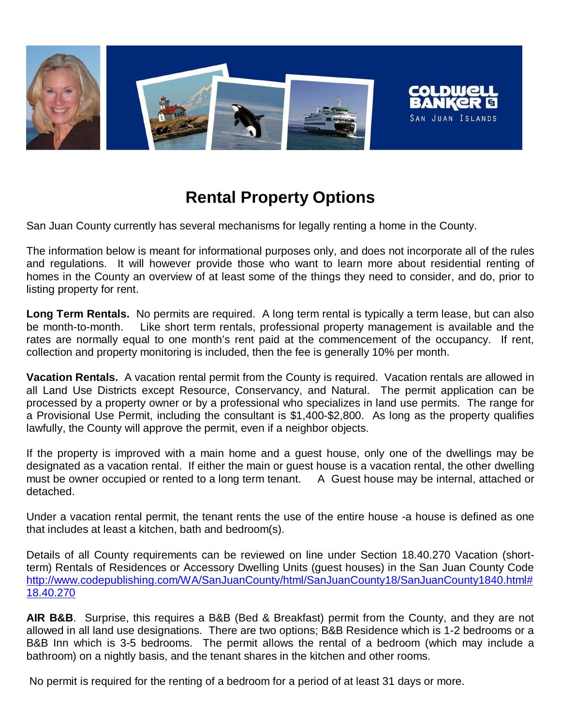

# **Rental Property Options**

San Juan County currently has several mechanisms for legally renting a home in the County.

The information below is meant for informational purposes only, and does not incorporate all of the rules and regulations. It will however provide those who want to learn more about residential renting of homes in the County an overview of at least some of the things they need to consider, and do, prior to listing property for rent.

**Long Term Rentals.** No permits are required. A long term rental is typically a term lease, but can also be month-to-month. Like short term rentals, professional property management is available and the rates are normally equal to one month's rent paid at the commencement of the occupancy. If rent, collection and property monitoring is included, then the fee is generally 10% per month.

**Vacation Rentals.** A vacation rental permit from the County is required. Vacation rentals are allowed in all Land Use Districts except Resource, Conservancy, and Natural. The permit application can be processed by a property owner or by a professional who specializes in land use permits. The range for a Provisional Use Permit, including the consultant is \$1,400-\$2,800. As long as the property qualifies lawfully, the County will approve the permit, even if a neighbor objects.

If the property is improved with a main home and a guest house, only one of the dwellings may be designated as a vacation rental. If either the main or guest house is a vacation rental, the other dwelling must be owner occupied or rented to a long term tenant. A Guest house may be internal, attached or detached.

Under a vacation rental permit, the tenant rents the use of the entire house -a house is defined as one that includes at least a kitchen, bath and bedroom(s).

Details of all County requirements can be reviewed on line under Section 18.40.270 Vacation (shortterm) Rentals of Residences or Accessory Dwelling Units (guest houses) in the San Juan County Code http://www.codepublishing.com/WA/SanJuanCounty/html/SanJuanCounty18/SanJuanCounty1840.html# 18.40.270

**AIR B&B**. Surprise, this requires a B&B (Bed & Breakfast) permit from the County, and they are not allowed in all land use designations. There are two options; B&B Residence which is 1-2 bedrooms or a B&B Inn which is 3-5 bedrooms. The permit allows the rental of a bedroom (which may include a bathroom) on a nightly basis, and the tenant shares in the kitchen and other rooms.

No permit is required for the renting of a bedroom for a period of at least 31 days or more.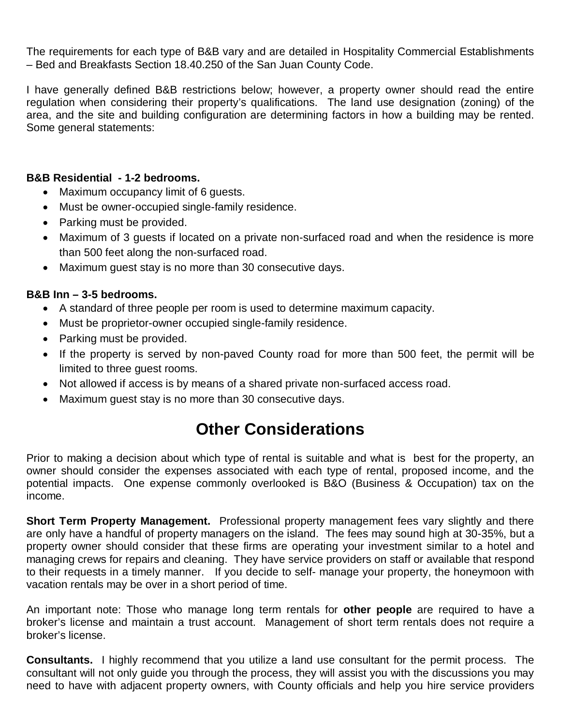The requirements for each type of B&B vary and are detailed in Hospitality Commercial Establishments – Bed and Breakfasts Section 18.40.250 of the San Juan County Code.

I have generally defined B&B restrictions below; however, a property owner should read the entire regulation when considering their property's qualifications. The land use designation (zoning) of the area, and the site and building configuration are determining factors in how a building may be rented. Some general statements:

#### **B&B Residential - 1-2 bedrooms.**

- Maximum occupancy limit of 6 quests.
- Must be owner-occupied single-family residence.
- Parking must be provided.
- Maximum of 3 guests if located on a private non-surfaced road and when the residence is more than 500 feet along the non-surfaced road.
- Maximum guest stay is no more than 30 consecutive days.

#### **B&B Inn – 3-5 bedrooms.**

- A standard of three people per room is used to determine maximum capacity.
- Must be proprietor-owner occupied single-family residence.
- Parking must be provided.
- If the property is served by non-paved County road for more than 500 feet, the permit will be limited to three guest rooms.
- Not allowed if access is by means of a shared private non-surfaced access road.
- Maximum guest stay is no more than 30 consecutive days.

## **Other Considerations**

Prior to making a decision about which type of rental is suitable and what is best for the property, an owner should consider the expenses associated with each type of rental, proposed income, and the potential impacts. One expense commonly overlooked is B&O (Business & Occupation) tax on the income.

**Short Term Property Management.** Professional property management fees vary slightly and there are only have a handful of property managers on the island. The fees may sound high at 30-35%, but a property owner should consider that these firms are operating your investment similar to a hotel and managing crews for repairs and cleaning. They have service providers on staff or available that respond to their requests in a timely manner. If you decide to self- manage your property, the honeymoon with vacation rentals may be over in a short period of time.

An important note: Those who manage long term rentals for **other people** are required to have a broker's license and maintain a trust account. Management of short term rentals does not require a broker's license.

**Consultants.** I highly recommend that you utilize a land use consultant for the permit process. The consultant will not only guide you through the process, they will assist you with the discussions you may need to have with adjacent property owners, with County officials and help you hire service providers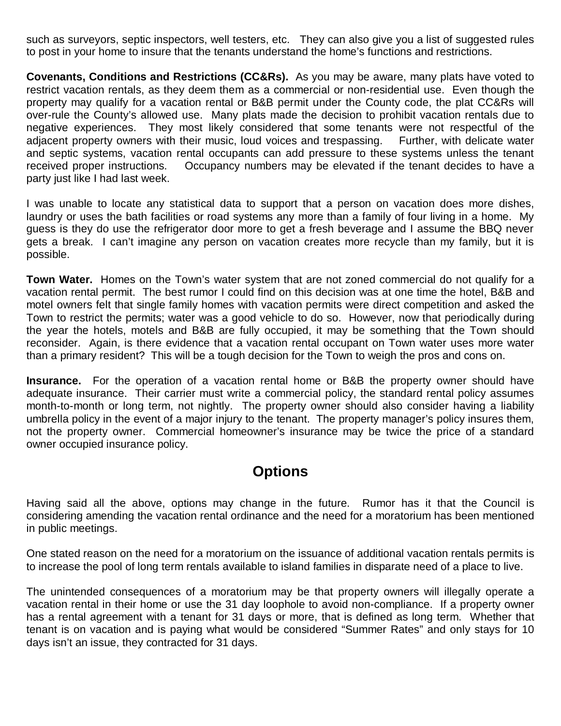such as surveyors, septic inspectors, well testers, etc. They can also give you a list of suggested rules to post in your home to insure that the tenants understand the home's functions and restrictions.

**Covenants, Conditions and Restrictions (CC&Rs).** As you may be aware, many plats have voted to restrict vacation rentals, as they deem them as a commercial or non-residential use. Even though the property may qualify for a vacation rental or B&B permit under the County code, the plat CC&Rs will over-rule the County's allowed use. Many plats made the decision to prohibit vacation rentals due to negative experiences. They most likely considered that some tenants were not respectful of the adjacent property owners with their music, loud voices and trespassing. Further, with delicate water and septic systems, vacation rental occupants can add pressure to these systems unless the tenant received proper instructions. Occupancy numbers may be elevated if the tenant decides to have a party just like I had last week.

I was unable to locate any statistical data to support that a person on vacation does more dishes, laundry or uses the bath facilities or road systems any more than a family of four living in a home. My guess is they do use the refrigerator door more to get a fresh beverage and I assume the BBQ never gets a break. I can't imagine any person on vacation creates more recycle than my family, but it is possible.

**Town Water.** Homes on the Town's water system that are not zoned commercial do not qualify for a vacation rental permit. The best rumor I could find on this decision was at one time the hotel, B&B and motel owners felt that single family homes with vacation permits were direct competition and asked the Town to restrict the permits; water was a good vehicle to do so. However, now that periodically during the year the hotels, motels and B&B are fully occupied, it may be something that the Town should reconsider. Again, is there evidence that a vacation rental occupant on Town water uses more water than a primary resident? This will be a tough decision for the Town to weigh the pros and cons on.

**Insurance.** For the operation of a vacation rental home or B&B the property owner should have adequate insurance. Their carrier must write a commercial policy, the standard rental policy assumes month-to-month or long term, not nightly. The property owner should also consider having a liability umbrella policy in the event of a major injury to the tenant. The property manager's policy insures them, not the property owner. Commercial homeowner's insurance may be twice the price of a standard owner occupied insurance policy.

### **Options**

Having said all the above, options may change in the future. Rumor has it that the Council is considering amending the vacation rental ordinance and the need for a moratorium has been mentioned in public meetings.

One stated reason on the need for a moratorium on the issuance of additional vacation rentals permits is to increase the pool of long term rentals available to island families in disparate need of a place to live.

The unintended consequences of a moratorium may be that property owners will illegally operate a vacation rental in their home or use the 31 day loophole to avoid non-compliance. If a property owner has a rental agreement with a tenant for 31 days or more, that is defined as long term. Whether that tenant is on vacation and is paying what would be considered "Summer Rates" and only stays for 10 days isn't an issue, they contracted for 31 days.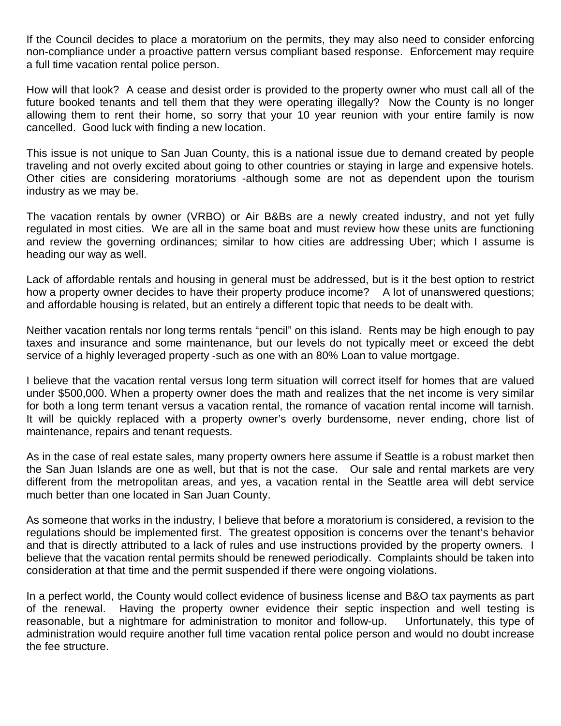If the Council decides to place a moratorium on the permits, they may also need to consider enforcing non-compliance under a proactive pattern versus compliant based response. Enforcement may require a full time vacation rental police person.

How will that look? A cease and desist order is provided to the property owner who must call all of the future booked tenants and tell them that they were operating illegally? Now the County is no longer allowing them to rent their home, so sorry that your 10 year reunion with your entire family is now cancelled. Good luck with finding a new location.

This issue is not unique to San Juan County, this is a national issue due to demand created by people traveling and not overly excited about going to other countries or staying in large and expensive hotels. Other cities are considering moratoriums -although some are not as dependent upon the tourism industry as we may be.

The vacation rentals by owner (VRBO) or Air B&Bs are a newly created industry, and not yet fully regulated in most cities. We are all in the same boat and must review how these units are functioning and review the governing ordinances; similar to how cities are addressing Uber; which I assume is heading our way as well.

Lack of affordable rentals and housing in general must be addressed, but is it the best option to restrict how a property owner decides to have their property produce income? A lot of unanswered questions; and affordable housing is related, but an entirely a different topic that needs to be dealt with.

Neither vacation rentals nor long terms rentals "pencil" on this island. Rents may be high enough to pay taxes and insurance and some maintenance, but our levels do not typically meet or exceed the debt service of a highly leveraged property -such as one with an 80% Loan to value mortgage.

I believe that the vacation rental versus long term situation will correct itself for homes that are valued under \$500,000. When a property owner does the math and realizes that the net income is very similar for both a long term tenant versus a vacation rental, the romance of vacation rental income will tarnish. It will be quickly replaced with a property owner's overly burdensome, never ending, chore list of maintenance, repairs and tenant requests.

As in the case of real estate sales, many property owners here assume if Seattle is a robust market then the San Juan Islands are one as well, but that is not the case. Our sale and rental markets are very different from the metropolitan areas, and yes, a vacation rental in the Seattle area will debt service much better than one located in San Juan County.

As someone that works in the industry, I believe that before a moratorium is considered, a revision to the regulations should be implemented first. The greatest opposition is concerns over the tenant's behavior and that is directly attributed to a lack of rules and use instructions provided by the property owners. I believe that the vacation rental permits should be renewed periodically. Complaints should be taken into consideration at that time and the permit suspended if there were ongoing violations.

In a perfect world, the County would collect evidence of business license and B&O tax payments as part of the renewal. Having the property owner evidence their septic inspection and well testing is reasonable, but a nightmare for administration to monitor and follow-up. Unfortunately, this type of administration would require another full time vacation rental police person and would no doubt increase the fee structure.